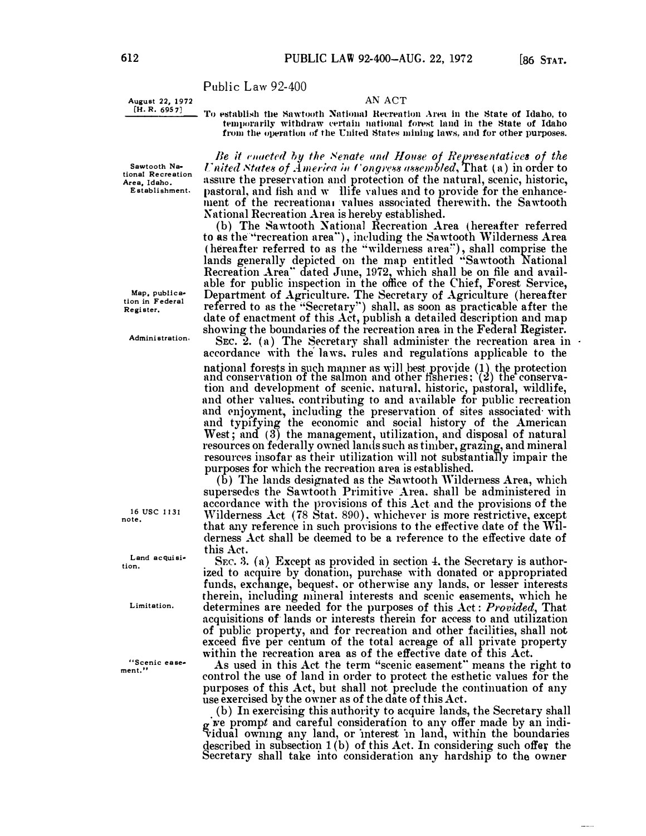Public Law 92-400

August 22, 1972<br>[H. R. 6957]

AN ACT

To establish the Sawtooth National Recreation Area in the State of Idaho, to temporarily withdraw certain national forest land in the State of Idaho from the operation of the United States mining laws, and for other purposes.

Sawtooth National Recreation Area, Idaho. Establishment.

Map, publication in Federal Register.

Administration.

16 USC 1131 note.

Land acquisition.

Limitation.

"Scenic easement.'

Be it enacted by the Senate and House of Representatives of the United States of America in Congress assembled, That (a) in order to assure the preservation and protection of the natural, scenic, historic, pastoral, and fish and w llife values and to provide for the enhancement of the recreational values associated therewith, the Sawtooth National Recreation Area is hereby established.

(b) The Sawtooth National Recreation Area (hereafter referred to as the "recreation area"), including the Sawtooth Wilderness Area (hereafter referred to as the "wilderness area"), shall comprise the<br>lands generally depicted on the map entitled "Sawtooth National<br>Recreation Area" dated June, 1972, which shall be on file and available for public inspection in the office of the Chief, Forest Service, Department of Agriculture. The Secretary of Agriculture (hereafter referred to as the "Secretary") shall, as soon as practicable after the date of enactment of this Act, publish a detailed description and map showing the boundaries of the recreation area in the Federal Register.

SEC. 2. (a) The Secretary shall administer the recreation area in accordance with the laws, rules and regulations applicable to the national forests in such manner as will best provide (1) the protection<br>and conservation of the salmon and other fisheries; (2) the conservation and development of scenic, natural, historic, pastoral, wildlife, and other values, contributing to and available for public recreation and enjoyment, including the preservation of sites associated with and typifying the economic and social history of the American West; and (3) the management, utilization, and disposal of natural resources on federally owned lands such as timber, grazing, and mineral resources insofar as their utilization will not substantially impair the purposes for which the recreation area is established.

(b) The lands designated as the Sawtooth Wilderness Area, which supersedes the Sawtooth Primitive Area, shall be administered in accordance with the provisions of this Act and the provisions of the Wilderness Act (78 Stat. 890), whichever is more restrictive, except that any reference in such provisions to the effective date of the Wilderness Act shall be deemed to be a reference to the effective date of this Act.

SEC. 3. (a) Except as provided in section 4, the Secretary is authorized to acquire by donation, purchase with donated or appropriated funds, exchange, bequest, or otherwise any lands, or lesser interests therein, including mineral interests and scenic easements, which he determines are needed for the purposes of this Act: Provided, That acquisitions of lands or interests therein for access to and utilization of public property, and for recreation and other facilities, shall not exceed five per centum of the total acreage of all private property within the recreation area as of the effective date of this Act.

As used in this Act the term "scenic easement" means the right to control the use of land in order to protect the esthetic values for the purposes of this Act, but shall not preclude the continuation of any use exercised by the owner as of the date of this Act.

(b) In exercising this authority to acquire lands, the Secretary shall g we prompt and careful consideration to any offer made by an individual owning any land, or interest in land, within the boundaries described in subsection  $1(b)$  of this Act. In considering such offer the Secretary shall take into consideration any hardship to the owner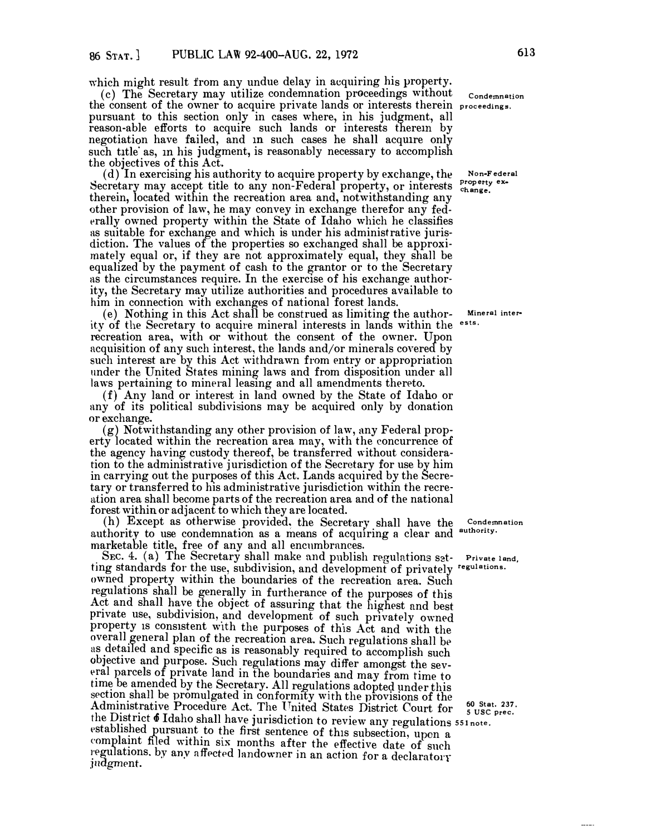which might result from any undue delay in acquiring his property.

(c) The Secretary may utilize condemnation proceedings without the consent of the owner to acquire private lands or interests therein proceedings. pursuant to this section only in cases where, in his judgment, all reason-able efforts to acquire such lands or interests therem by negotiation have failed, and in such cases he shall acquire only such title as, in his judgment, is reasonably necessary to accomplish the objectives of this Act.

(d) In exercising his authority to acquire property by exchange, the (d) In exercising his authority to acquire property by exchange, the Non-Federal property, or interests  $\frac{\text{p}{\text{replace}}}$  extherein, located within the recreation area and, notwithstanding any other provision of law, he may convey in exchange therefor any federally owned property within the State of Idaho which he classifies as suitable for exchange and which is under his administrative jurisdiction. The values of the properties so exchanged shall be approximately equal or, if they are not approximately equal, they shall be equalized by the payment of cash to the grantor or to the Secretary as the circumstances require. In the exercise of his exchange authority, the Secretary may utilize authorities and procedures available to him in connection with exchanges of national forest lands.

( e) Nothing in this Act shall be construed as limiting the authority of the Secretary to acquire mineral interests in lands within the <sup>ests.</sup> recreation area, with or without the consent *of* the owner. Upon acquisition of any such interest, the lands and/or minerals covered by such interest are by this Act withdrawn from entry or appropriation under the United States mining laws and from disposition under all laws pertaining to mineral leasing and all amendments thereto.

(f) Any land or interest in land owned by the State of Idaho or any of its political subdivisions may be acquired only by donation or exchange.

(g) Notwithstanding any other provision of law, any Federal property located within the recreation area may, with the concurrence of the agency having custody thereof, be transferred without consideration to the administrative jurisdiction of the Secretary for use by him in carrying out the purposes of this Act. Lands acquired by the Secretary or transferred to his administrative jurisdiction within the recreation area shall become parts of the recreation area and *of* the national forest within or adjacent to which they are located.

(h) Except as otherwise provided, the Secretary shall have the authority to use condemnation as a means of acquiring a clear and <sup>authority.</sup> marketable title, free of any and all encumbrances.

SEC. 4. (a) The Secretary shall make and publish regulations s�t-**Private land,** ting standards for the use, subdivision, and development of privately <sup>regulations.<br>
owned property within the boundaries of the recreation area. Such</sup> owned property within the boundaries of the recreation area. Such regulations shall be generally in furtherance of the purposes of this Act and shall have the object of assuring that the highest and best private use, subdivision, and development of such privately owned property is consistent with the purposes of this Act and with the overall general plan of the recreation area. Such regulations shall be as detailed and specific as is reasonably required to accomplish such objective and purpose. Such regulations may differ amongst the several parcels of private land in the boundaries and may from time to time be amended by the Secretary. All regulations adopted under this section shall be promulgated in conformity with the provisions of the ence on shall be promulgated in conformity with the provisions of the<br>Administrative Procedure Act. The United States District Court for  $\frac{60}{5}$  sta<br>the District 6 Idaho shall have jurisdiction to review any regulations established pursuant to the first sentence of this subsection, upon <sup>a</sup> eomplaint filed within six months after the effective date of such regulations. by any affected landowner in an action for a declaratory judgment.

**condemnation** 

**Non-Federal** 

**Mineral inter-**

**Condemnation** 

**<sup>60</sup>**st**at. 237 · 5 use prec.**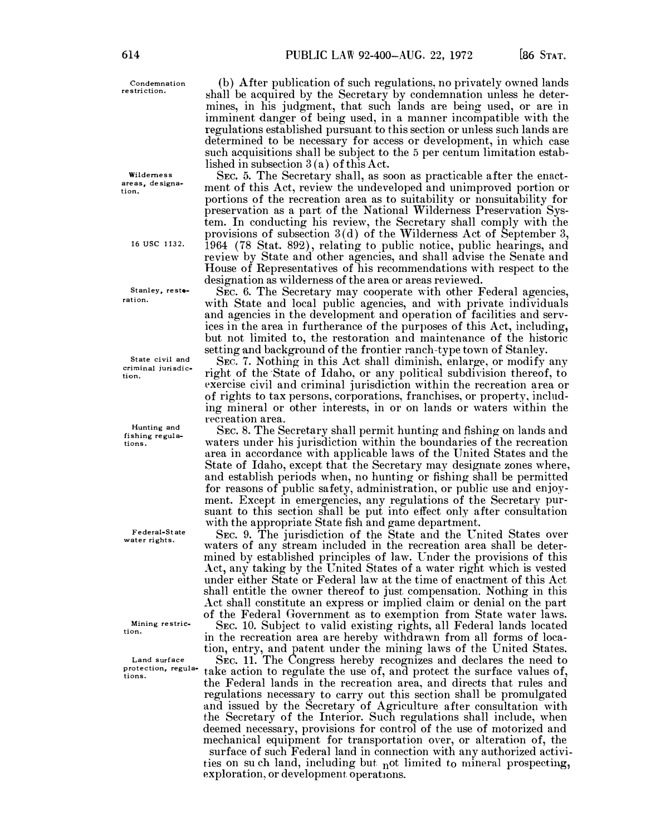**Condemnation restriction.** 

**Wilderness**  areas, designa. **tion.** 

**16USC 1132.** 

**Stanley, restoration.** 

**State civil and**  tion. criminal jurisdic-

**Hunting and fishing regulations.** 

**Federal-St ate water rights.** 

Mining restric**tion.** 

**Land surface protection, regulations.** 

(b) After publication of such regulations, no privately owned lands shall be acquired by the Secretary by condemnation unless he determines, in his judgment, that such lands are being used, or are in imminent danger of being used, in a manner incompatible with the regulations established pursuant to this section or unless such lands are determined to be necessary for access or development, in which case such acquisitions shall be subject to the 5 per centum limitation established in subsection 3 (a) of this Act.

SEc. 5. The Secretary shall, as soon as practicable after the enactment of this Act, review the undeveloped and unimproved portion or portions of the recreation area as to suitability or nonsuitability for preservation as a part of the National Wilderness Preservation System. In conducting his review, the Secretary shall comply with the provisions of subsection  $3(d)$  of the Wilderness Act of September 3, 1964 (78 Stat. 892), relating to public notice, public hearings, and review by State and other agencies, and shall advise the Senate and House of Representatives of his recommendations with respect to the designation as wilderness of the area or areas reviewed.

SEC. 6. The Secretary may cooperate with other Federal agencies, with State and local public agencies, and with private individuals and agencies in the development and operation of facilities and services in the area in furtherance of the purposes of this Act, including, but not limited to, the restoration and maintenance of the historic setting and background of the frontier ranch-type town of Stanley.

SEC. 7. Nothing in this Act shall diminish, enlarge, or modify any right of the State of Idaho, or any political subdivision thereof, to exercise civil and criminal jurisdiction within the recreation area or of rights to tax persons, corporations, franchises, or property, including mineral or other interests, in or on lands or waters within the recreation area.

SEc. 8. The Secretary shall permit hunting and fishing on lands and waters under his jurisdiction within the boundaries of the recreation area in accordance with applicable laws of the United States and the State of Idaho, except that the Secretary may designate zones where, and establish periods when, no hunting or fishing shall be permitted for reasons of public safety, administration, or public use and enjoyment. Except in emergencies, any regulations of the Secretary pursuant to this section shall be put into effect only after consultation with the appropriate State fish and game department.

SEC. 9. The jurisdiction of the State and the United States over waters of any stream included in the recreation area shall be determined by established principles of law. Under the provisions of this Act, any taking by the United States of a water right which is vested under either State or Federal law at the time of enactment of this Act shall entitle the owner thereof to just compensation. Nothing in this Act shall constitute an express or implied claim or denial on the part of the Federal Government as to exemption from State water laws.

SEc. 10. Subject to valid existing rights, all Federal lands located in the recreation area are hereby withdrawn from all forms of location, entry, and patent under the mining laws of the United States.

SEC. 11. The Congress hereby recognizes and declares the need to take action *to* regulate the use of, and protect the surface values of, the Federal lands in the recreation area, and directs that rules and regulations necessary to carry out this section shall be promulgated and issued by the Secretary of Agriculture after consultation with the Secretary of the Interior. Such regulations shall include, when deemed necessary, provisions for control of the use of motorized and mechanical equipment for transportation over, or alteration of, the surface of such Federal land in connection with any authorized activities on su ch land, including but not limited to mineral prospecting,

exploration, or development operations.